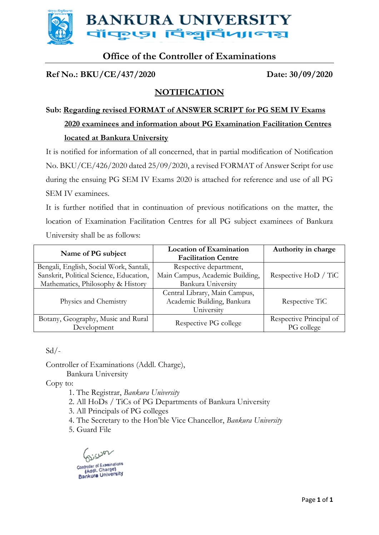

## **Office of the Controller of Examinations**

## **Ref No.: BKU/CE/437/2020 Date: 30/09/2020**

## **NOTIFICATION**

## **Sub: Regarding revised FORMAT of ANSWER SCRIPT for PG SEM IV Exams 2020 examinees and information about PG Examination Facilitation Centres located at Bankura University**

It is notified for information of all concerned, that in partial modification of Notification No. BKU/CE/426/2020 dated 25/09/2020, a revised FORMAT of Answer Script for use during the ensuing PG SEM IV Exams 2020 is attached for reference and use of all PG SEM IV examinees.

It is further notified that in continuation of previous notifications on the matter, the location of Examination Facilitation Centres for all PG subject examinees of Bankura University shall be as follows:

| Name of PG subject                      | <b>Location of Examination</b><br><b>Facilitation Centre</b> | Authority in charge         |
|-----------------------------------------|--------------------------------------------------------------|-----------------------------|
|                                         |                                                              |                             |
| Bengali, English, Social Work, Santali, | Respective department,                                       |                             |
| Sanskrit, Political Science, Education, | Main Campus, Academic Building,                              | Respective HoD / TiC        |
| Mathematics, Philosophy & History       | Bankura University                                           |                             |
|                                         | Central Library, Main Campus,                                |                             |
| Physics and Chemistry                   | Academic Building, Bankura                                   | Respective T <sub>i</sub> C |
|                                         | University                                                   |                             |
| Botany, Geography, Music and Rural      | Respective PG college                                        | Respective Principal of     |
| Development                             |                                                              | PG college                  |

 $Sd$  /-

Controller of Examinations (Addl. Charge), Bankura University

Copy to:

- 1. The Registrar, *Bankura University*
- 2. All HoDs / TiCs of PG Departments of Bankura University
- 3. All Principals of PG colleges
- 4. The Secretary to the Hon'ble Vice Chancellor, *Bankura University*
- 5. Guard File

sum Controller of Examinations Controller of Examinations<br>(Addl. Charge)<br>Bankura University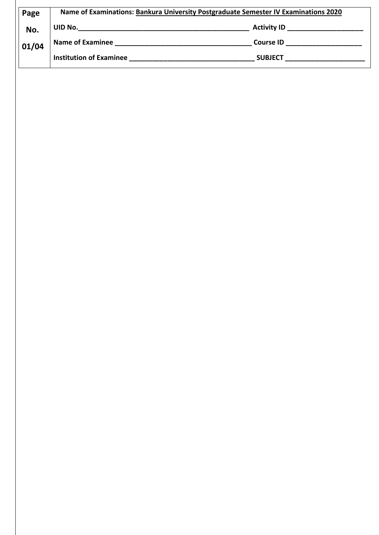| Page  | Name of Examinations: Bankura University Postgraduate Semester IV Examinations 2020 |                    |
|-------|-------------------------------------------------------------------------------------|--------------------|
| No.   | UID No.                                                                             | <b>Activity ID</b> |
| 01/04 | <b>Name of Examinee</b>                                                             | <b>Course ID</b>   |
|       | <b>Institution of Examinee</b>                                                      | <b>SUBJECT</b>     |
|       |                                                                                     |                    |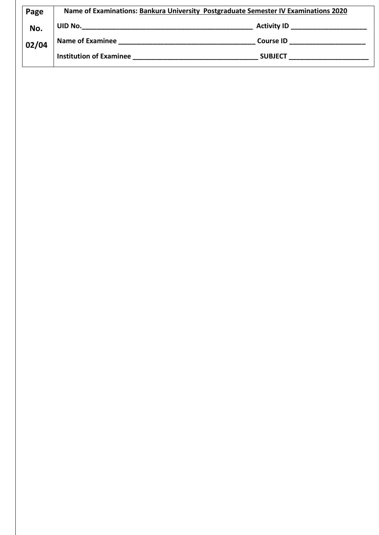| Page  | Name of Examinations: Bankura University Postgraduate Semester IV Examinations 2020 |                    |
|-------|-------------------------------------------------------------------------------------|--------------------|
| No.   | UID No.                                                                             | <b>Activity ID</b> |
| 02/04 | <b>Name of Examinee</b>                                                             | <b>Course ID</b>   |
|       | <b>Institution of Examinee</b>                                                      | <b>SUBJECT</b>     |
|       |                                                                                     |                    |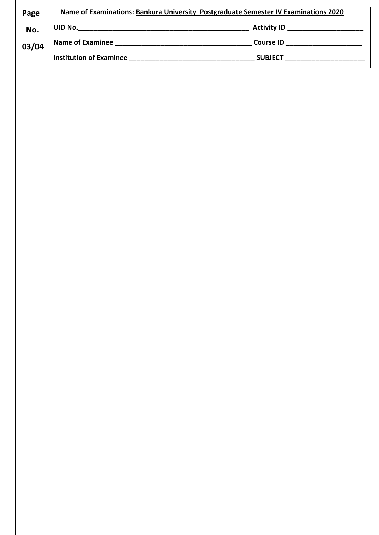| Name of Examinations: Bankura University Postgraduate Semester IV Examinations 2020 |                    |
|-------------------------------------------------------------------------------------|--------------------|
| UID No.                                                                             | <b>Activity ID</b> |
| <b>Name of Examinee</b>                                                             | <b>Course ID</b>   |
| <b>Institution of Examinee</b>                                                      | <b>SUBJECT</b>     |
|                                                                                     |                    |